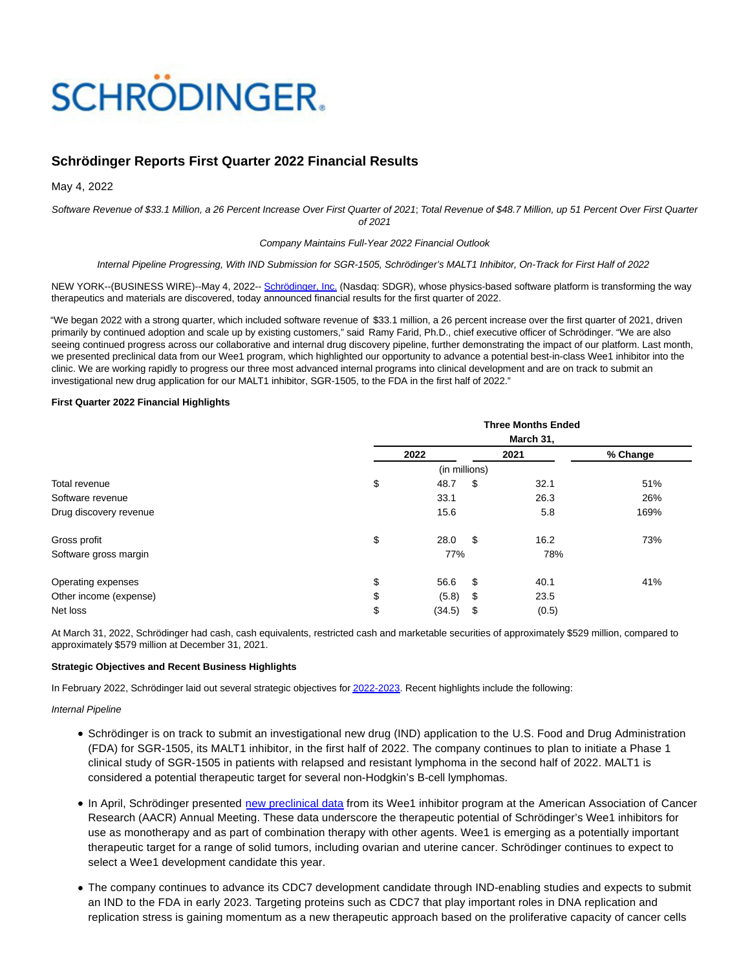# **SCHRÖDINGER.**

## **Schrödinger Reports First Quarter 2022 Financial Results**

May 4, 2022

Software Revenue of \$33.1 Million, a 26 Percent Increase Over First Quarter of 2021; Total Revenue of \$48.7 Million, up 51 Percent Over First Quarter of 2021

#### Company Maintains Full-Year 2022 Financial Outlook

#### Internal Pipeline Progressing, With IND Submission for SGR-1505, Schrödinger's MALT1 Inhibitor, On-Track for First Half of 2022

NEW YORK--(BUSINESS WIRE)--May 4, 2022-- [Schrödinger, Inc. \(](https://cts.businesswire.com/ct/CT?id=smartlink&url=http%3A%2F%2Fwww.schrodinger.com%2F&esheet=52707883&newsitemid=20220504005799&lan=en-US&anchor=Schr%26ouml%3Bdinger%2C+Inc.&index=1&md5=702c181a68d31aa3a0268f8daf87553c)Nasdaq: SDGR), whose physics-based software platform is transforming the way therapeutics and materials are discovered, today announced financial results for the first quarter of 2022.

"We began 2022 with a strong quarter, which included software revenue of \$33.1 million, a 26 percent increase over the first quarter of 2021, driven primarily by continued adoption and scale up by existing customers," said Ramy Farid, Ph.D., chief executive officer of Schrödinger. "We are also seeing continued progress across our collaborative and internal drug discovery pipeline, further demonstrating the impact of our platform. Last month, we presented preclinical data from our Wee1 program, which highlighted our opportunity to advance a potential best-in-class Wee1 inhibitor into the clinic. We are working rapidly to progress our three most advanced internal programs into clinical development and are on track to submit an investigational new drug application for our MALT1 inhibitor, SGR-1505, to the FDA in the first half of 2022."

### **First Quarter 2022 Financial Highlights**

|                        | <b>Three Months Ended</b> |      |       |          |  |  |
|------------------------|---------------------------|------|-------|----------|--|--|
|                        | March 31,                 |      |       |          |  |  |
|                        | 2022                      |      | 2021  | % Change |  |  |
|                        | (in millions)             |      |       |          |  |  |
| Total revenue          | \$<br>48.7                | \$   | 32.1  | 51%      |  |  |
| Software revenue       | 33.1                      |      | 26.3  | 26%      |  |  |
| Drug discovery revenue | 15.6                      |      | 5.8   | 169%     |  |  |
| Gross profit           | \$<br>28.0                | - \$ | 16.2  | 73%      |  |  |
| Software gross margin  | 77%                       |      | 78%   |          |  |  |
| Operating expenses     | \$<br>56.6                | - \$ | 40.1  | 41%      |  |  |
| Other income (expense) | \$<br>(5.8)               | \$   | 23.5  |          |  |  |
| Net loss               | \$<br>(34.5)              | \$   | (0.5) |          |  |  |

At March 31, 2022, Schrödinger had cash, cash equivalents, restricted cash and marketable securities of approximately \$529 million, compared to approximately \$579 million at December 31, 2021.

#### **Strategic Objectives and Recent Business Highlights**

In February 2022, Schrödinger laid out several strategic objectives fo[r 2022-2023.](https://cts.businesswire.com/ct/CT?id=smartlink&url=https%3A%2F%2Fir.schrodinger.com%2Fnews-releases%2Fnews-release-details%2Fschrodinger-reports-financial-results-fourth-quarter-and-full-0&esheet=52707883&newsitemid=20220504005799&lan=en-US&anchor=2022-2023&index=2&md5=9a8e8fbc51a8718415f97f259e4f200f) Recent highlights include the following:

#### Internal Pipeline

- Schrödinger is on track to submit an investigational new drug (IND) application to the U.S. Food and Drug Administration (FDA) for SGR-1505, its MALT1 inhibitor, in the first half of 2022. The company continues to plan to initiate a Phase 1 clinical study of SGR-1505 in patients with relapsed and resistant lymphoma in the second half of 2022. MALT1 is considered a potential therapeutic target for several non-Hodgkin's B-cell lymphomas.
- In April, Schrödinger presented [new preclinical data f](https://cts.businesswire.com/ct/CT?id=smartlink&url=https%3A%2F%2Fir.schrodinger.com%2Fnews-releases%2Fnews-release-details%2Fschrodinger-reports-new-preclinical-data-supporting-advancement&esheet=52707883&newsitemid=20220504005799&lan=en-US&anchor=new+preclinical+data&index=3&md5=c11162126758a5d90afe49d07270540a)rom its Wee1 inhibitor program at the American Association of Cancer Research (AACR) Annual Meeting. These data underscore the therapeutic potential of Schrödinger's Wee1 inhibitors for use as monotherapy and as part of combination therapy with other agents. Wee1 is emerging as a potentially important therapeutic target for a range of solid tumors, including ovarian and uterine cancer. Schrödinger continues to expect to select a Wee1 development candidate this year.
- The company continues to advance its CDC7 development candidate through IND-enabling studies and expects to submit an IND to the FDA in early 2023. Targeting proteins such as CDC7 that play important roles in DNA replication and replication stress is gaining momentum as a new therapeutic approach based on the proliferative capacity of cancer cells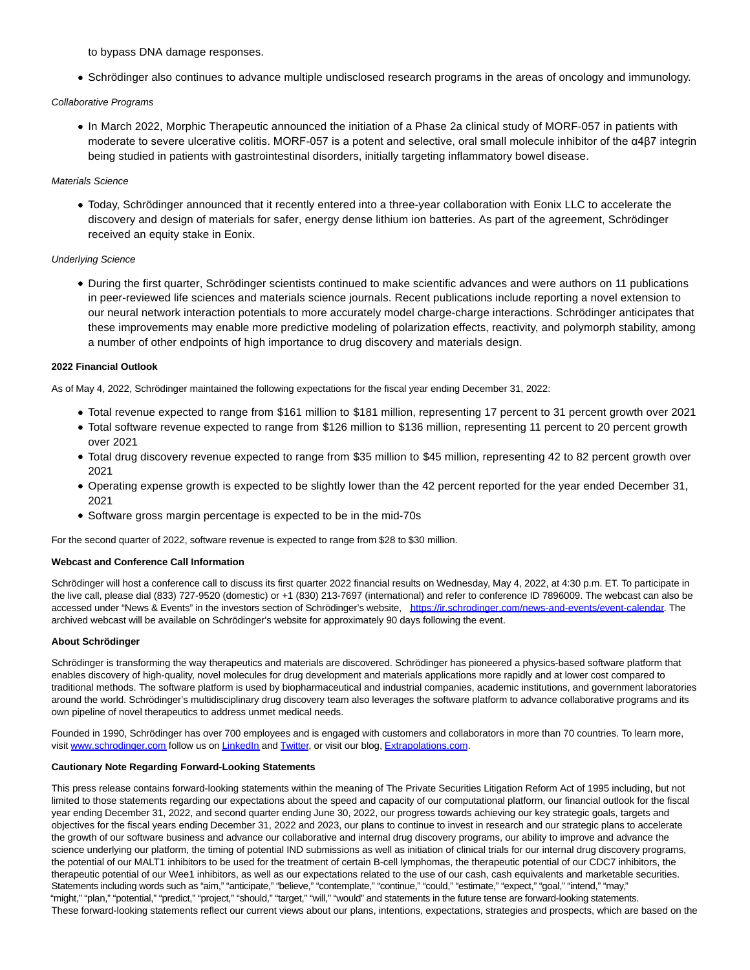to bypass DNA damage responses.

Schrödinger also continues to advance multiple undisclosed research programs in the areas of oncology and immunology.

#### Collaborative Programs

In March 2022, Morphic Therapeutic announced the initiation of a Phase 2a clinical study of MORF-057 in patients with moderate to severe ulcerative colitis. MORF-057 is a potent and selective, oral small molecule inhibitor of the α4β7 integrin being studied in patients with gastrointestinal disorders, initially targeting inflammatory bowel disease.

#### Materials Science

Today, Schrödinger announced that it recently entered into a three-year collaboration with Eonix LLC to accelerate the discovery and design of materials for safer, energy dense lithium ion batteries. As part of the agreement, Schrödinger received an equity stake in Eonix.

#### Underlying Science

During the first quarter, Schrödinger scientists continued to make scientific advances and were authors on 11 publications in peer-reviewed life sciences and materials science journals. Recent publications include reporting a novel extension to our neural network interaction potentials to more accurately model charge-charge interactions. Schrödinger anticipates that these improvements may enable more predictive modeling of polarization effects, reactivity, and polymorph stability, among a number of other endpoints of high importance to drug discovery and materials design.

#### **2022 Financial Outlook**

As of May 4, 2022, Schrödinger maintained the following expectations for the fiscal year ending December 31, 2022:

- Total revenue expected to range from \$161 million to \$181 million, representing 17 percent to 31 percent growth over 2021
- Total software revenue expected to range from \$126 million to \$136 million, representing 11 percent to 20 percent growth over 2021
- Total drug discovery revenue expected to range from \$35 million to \$45 million, representing 42 to 82 percent growth over 2021
- Operating expense growth is expected to be slightly lower than the 42 percent reported for the year ended December 31, 2021
- Software gross margin percentage is expected to be in the mid-70s

For the second quarter of 2022, software revenue is expected to range from \$28 to \$30 million.

#### **Webcast and Conference Call Information**

Schrödinger will host a conference call to discuss its first quarter 2022 financial results on Wednesday, May 4, 2022, at 4:30 p.m. ET. To participate in the live call, please dial (833) 727-9520 (domestic) or +1 (830) 213-7697 (international) and refer to conference ID 7896009. The webcast can also be accessed under "News & Events" in the investors section of Schrödinger's website, [https://ir.schrodinger.com/news-and-events/event-calendar.](https://cts.businesswire.com/ct/CT?id=smartlink&url=https%3A%2F%2Fir.schrodinger.com%2Fnews-and-events%2Fevent-calendar&esheet=52707883&newsitemid=20220504005799&lan=en-US&anchor=https%3A%2F%2Fir.schrodinger.com%2Fnews-and-events%2Fevent-calendar&index=4&md5=ca55c6677fa23a13d191ae8a5c5485b2) The archived webcast will be available on Schrödinger's website for approximately 90 days following the event.

#### **About Schrödinger**

Schrödinger is transforming the way therapeutics and materials are discovered. Schrödinger has pioneered a physics-based software platform that enables discovery of high-quality, novel molecules for drug development and materials applications more rapidly and at lower cost compared to traditional methods. The software platform is used by biopharmaceutical and industrial companies, academic institutions, and government laboratories around the world. Schrödinger's multidisciplinary drug discovery team also leverages the software platform to advance collaborative programs and its own pipeline of novel therapeutics to address unmet medical needs.

Founded in 1990, Schrödinger has over 700 employees and is engaged with customers and collaborators in more than 70 countries. To learn more, visit [www.schrodinger.com f](https://cts.businesswire.com/ct/CT?id=smartlink&url=http%3A%2F%2Fwww.schrodinger.com&esheet=52707883&newsitemid=20220504005799&lan=en-US&anchor=www.schrodinger.com&index=5&md5=4a848e3b79f20445a80b887acef3f86d)ollow us o[n LinkedIn a](https://cts.businesswire.com/ct/CT?id=smartlink&url=https%3A%2F%2Fwww.linkedin.com%2Fcompany%2Fschr-dinger%2F&esheet=52707883&newsitemid=20220504005799&lan=en-US&anchor=LinkedIn&index=6&md5=f7d2ab1d440b6753e58126f95a1eb157)n[d Twitter,](https://cts.businesswire.com/ct/CT?id=smartlink&url=https%3A%2F%2Ftwitter.com%2Fschrodinger&esheet=52707883&newsitemid=20220504005799&lan=en-US&anchor=Twitter&index=7&md5=6c3fed2529a7b17e239e0dd80af119e4) or visit our blog[, Extrapolations.com.](https://cts.businesswire.com/ct/CT?id=smartlink&url=http%3A%2F%2Fwww.extrapolations.com&esheet=52707883&newsitemid=20220504005799&lan=en-US&anchor=Extrapolations.com&index=8&md5=7879c31c5bea23e8c602ca4f540ed13b)

#### **Cautionary Note Regarding Forward-Looking Statements**

This press release contains forward-looking statements within the meaning of The Private Securities Litigation Reform Act of 1995 including, but not limited to those statements regarding our expectations about the speed and capacity of our computational platform, our financial outlook for the fiscal year ending December 31, 2022, and second quarter ending June 30, 2022, our progress towards achieving our key strategic goals, targets and objectives for the fiscal years ending December 31, 2022 and 2023, our plans to continue to invest in research and our strategic plans to accelerate the growth of our software business and advance our collaborative and internal drug discovery programs, our ability to improve and advance the science underlying our platform, the timing of potential IND submissions as well as initiation of clinical trials for our internal drug discovery programs, the potential of our MALT1 inhibitors to be used for the treatment of certain B-cell lymphomas, the therapeutic potential of our CDC7 inhibitors, the therapeutic potential of our Wee1 inhibitors, as well as our expectations related to the use of our cash, cash equivalents and marketable securities. Statements including words such as "aim," "anticipate," "believe," "contemplate," "continue," "could," "estimate," "expect," "goal," "intend," "may," "might," "plan," "potential," "predict," "project," "should," "target," "will," "would" and statements in the future tense are forward-looking statements. These forward-looking statements reflect our current views about our plans, intentions, expectations, strategies and prospects, which are based on the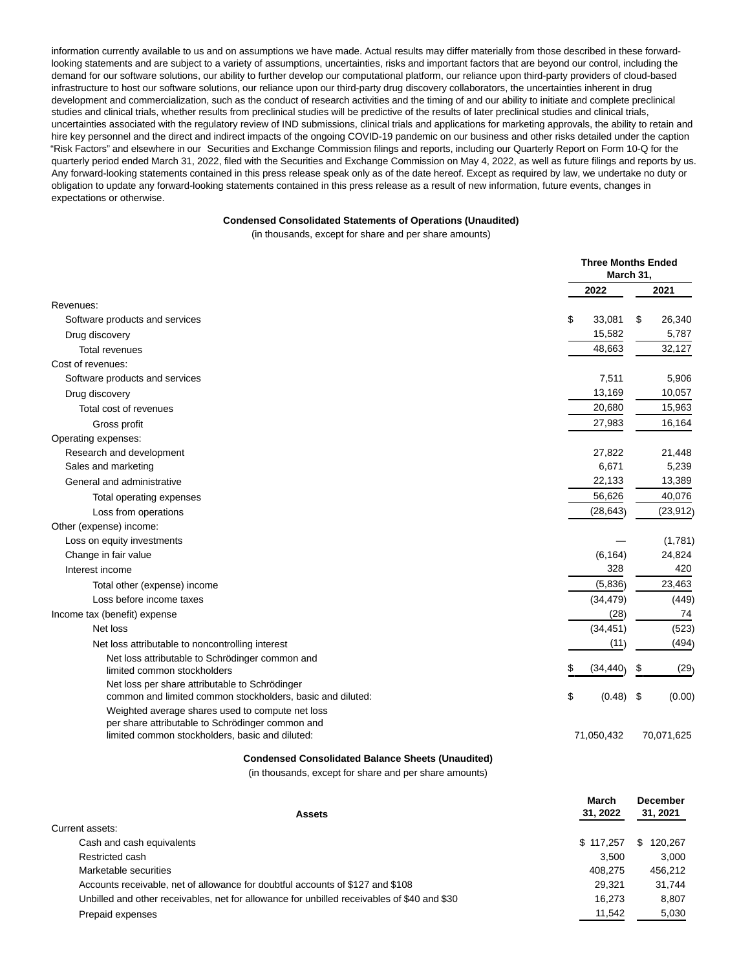information currently available to us and on assumptions we have made. Actual results may differ materially from those described in these forwardlooking statements and are subject to a variety of assumptions, uncertainties, risks and important factors that are beyond our control, including the demand for our software solutions, our ability to further develop our computational platform, our reliance upon third-party providers of cloud-based infrastructure to host our software solutions, our reliance upon our third-party drug discovery collaborators, the uncertainties inherent in drug development and commercialization, such as the conduct of research activities and the timing of and our ability to initiate and complete preclinical studies and clinical trials, whether results from preclinical studies will be predictive of the results of later preclinical studies and clinical trials, uncertainties associated with the regulatory review of IND submissions, clinical trials and applications for marketing approvals, the ability to retain and hire key personnel and the direct and indirect impacts of the ongoing COVID-19 pandemic on our business and other risks detailed under the caption "Risk Factors" and elsewhere in our Securities and Exchange Commission filings and reports, including our Quarterly Report on Form 10-Q for the quarterly period ended March 31, 2022, filed with the Securities and Exchange Commission on May 4, 2022, as well as future filings and reports by us. Any forward-looking statements contained in this press release speak only as of the date hereof. Except as required by law, we undertake no duty or obligation to update any forward-looking statements contained in this press release as a result of new information, future events, changes in expectations or otherwise.

#### **Condensed Consolidated Statements of Operations (Unaudited)**

(in thousands, except for share and per share amounts)

|                                                                                                      |              | <b>Three Months Ended</b><br>March 31, |  |  |
|------------------------------------------------------------------------------------------------------|--------------|----------------------------------------|--|--|
|                                                                                                      | 2022         | 2021                                   |  |  |
| Revenues:                                                                                            |              |                                        |  |  |
| Software products and services                                                                       | \$<br>33,081 | \$<br>26,340                           |  |  |
| Drug discovery                                                                                       | 15,582       | 5,787                                  |  |  |
| <b>Total revenues</b>                                                                                | 48,663       | 32,127                                 |  |  |
| Cost of revenues:                                                                                    |              |                                        |  |  |
| Software products and services                                                                       | 7,511        | 5,906                                  |  |  |
| Drug discovery                                                                                       | 13,169       | 10,057                                 |  |  |
| Total cost of revenues                                                                               | 20,680       | 15,963                                 |  |  |
| Gross profit                                                                                         | 27,983       | 16,164                                 |  |  |
| Operating expenses:                                                                                  |              |                                        |  |  |
| Research and development                                                                             | 27,822       | 21,448                                 |  |  |
| Sales and marketing                                                                                  | 6,671        | 5,239                                  |  |  |
| General and administrative                                                                           | 22,133       | 13,389                                 |  |  |
| Total operating expenses                                                                             | 56,626       | 40,076                                 |  |  |
| Loss from operations                                                                                 | (28, 643)    | (23, 912)                              |  |  |
| Other (expense) income:                                                                              |              |                                        |  |  |
| Loss on equity investments                                                                           |              | (1,781)                                |  |  |
| Change in fair value                                                                                 | (6, 164)     | 24,824                                 |  |  |
| Interest income                                                                                      | 328          | 420                                    |  |  |
| Total other (expense) income                                                                         | (5,836)      | 23,463                                 |  |  |
| Loss before income taxes                                                                             | (34, 479)    | (449)                                  |  |  |
| Income tax (benefit) expense                                                                         | (28)         | 74                                     |  |  |
| Net loss                                                                                             | (34, 451)    | (523)                                  |  |  |
| Net loss attributable to noncontrolling interest                                                     | (11)         | (494)                                  |  |  |
| Net loss attributable to Schrödinger common and                                                      |              |                                        |  |  |
| limited common stockholders                                                                          | (34, 440)    | \$<br>(29)                             |  |  |
| Net loss per share attributable to Schrödinger                                                       |              |                                        |  |  |
| common and limited common stockholders, basic and diluted:                                           | \$<br>(0.48) | \$<br>(0.00)                           |  |  |
| Weighted average shares used to compute net loss<br>per share attributable to Schrödinger common and |              |                                        |  |  |
| limited common stockholders, basic and diluted:                                                      | 71,050,432   | 70,071,625                             |  |  |
|                                                                                                      |              |                                        |  |  |

#### **Condensed Consolidated Balance Sheets (Unaudited)**

(in thousands, except for share and per share amounts)

**March**

| <b>Assets</b>                                                                               | March<br>31, 2022 | <b>December</b><br>31, 2021 |
|---------------------------------------------------------------------------------------------|-------------------|-----------------------------|
| Current assets:                                                                             |                   |                             |
| Cash and cash equivalents                                                                   | \$117.257         | 120.267                     |
| Restricted cash                                                                             | 3.500             | 3.000                       |
| Marketable securities                                                                       | 408.275           | 456.212                     |
| Accounts receivable, net of allowance for doubtful accounts of \$127 and \$108              | 29.321            | 31.744                      |
| Unbilled and other receivables, net for allowance for unbilled receivables of \$40 and \$30 | 16.273            | 8.807                       |
| Prepaid expenses                                                                            | 11.542            | 5.030                       |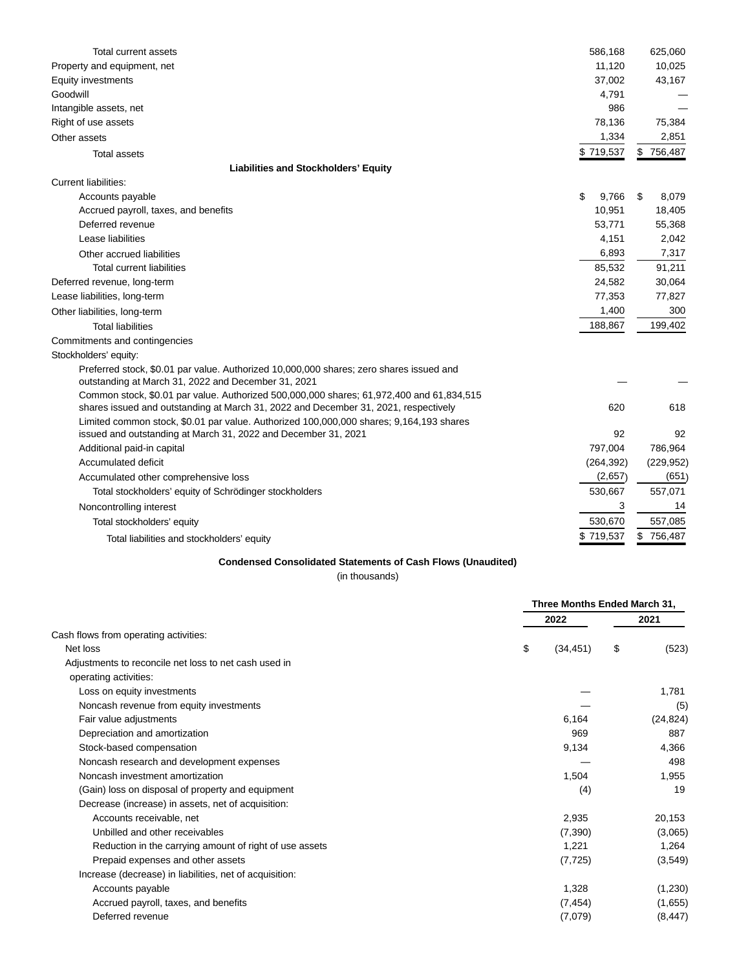| Total current assets                                                                                                                                                            | 586,168                      | 625,060     |
|---------------------------------------------------------------------------------------------------------------------------------------------------------------------------------|------------------------------|-------------|
| Property and equipment, net                                                                                                                                                     | 11,120                       | 10,025      |
| Equity investments                                                                                                                                                              | 37,002                       | 43,167      |
| Goodwill                                                                                                                                                                        | 4,791                        |             |
| Intangible assets, net                                                                                                                                                          | 986                          |             |
| Right of use assets                                                                                                                                                             | 78,136                       | 75,384      |
| Other assets                                                                                                                                                                    | 1,334                        | 2,851       |
| <b>Total assets</b>                                                                                                                                                             | \$719,537                    | \$756,487   |
| <b>Liabilities and Stockholders' Equity</b>                                                                                                                                     |                              |             |
| <b>Current liabilities:</b>                                                                                                                                                     |                              |             |
| Accounts payable                                                                                                                                                                | \$<br>9,766                  | \$<br>8,079 |
| Accrued payroll, taxes, and benefits                                                                                                                                            | 10,951                       | 18,405      |
| Deferred revenue                                                                                                                                                                | 53,771                       | 55,368      |
| Lease liabilities                                                                                                                                                               | 4,151                        | 2,042       |
| Other accrued liabilities                                                                                                                                                       | 6,893                        | 7,317       |
| Total current liabilities                                                                                                                                                       | 85,532                       | 91,211      |
| Deferred revenue, long-term                                                                                                                                                     | 24,582                       | 30,064      |
| Lease liabilities, long-term                                                                                                                                                    | 77,353                       | 77,827      |
| Other liabilities, long-term                                                                                                                                                    | 1,400                        | 300         |
| <b>Total liabilities</b>                                                                                                                                                        | 188,867                      | 199,402     |
| Commitments and contingencies                                                                                                                                                   |                              |             |
| Stockholders' equity:                                                                                                                                                           |                              |             |
| Preferred stock, \$0.01 par value. Authorized 10,000,000 shares; zero shares issued and                                                                                         |                              |             |
| outstanding at March 31, 2022 and December 31, 2021                                                                                                                             |                              |             |
| Common stock, \$0.01 par value. Authorized 500,000,000 shares; 61,972,400 and 61,834,515<br>shares issued and outstanding at March 31, 2022 and December 31, 2021, respectively | 620                          | 618         |
| Limited common stock, \$0.01 par value. Authorized 100,000,000 shares; 9,164,193 shares                                                                                         |                              |             |
| issued and outstanding at March 31, 2022 and December 31, 2021                                                                                                                  | 92                           | 92          |
| Additional paid-in capital                                                                                                                                                      | 797,004                      | 786,964     |
| Accumulated deficit                                                                                                                                                             | (264, 392)                   | (229, 952)  |
| Accumulated other comprehensive loss                                                                                                                                            | (2,657)                      | (651)       |
| Total stockholders' equity of Schrödinger stockholders                                                                                                                          | 530,667                      | 557,071     |
| Noncontrolling interest                                                                                                                                                         | 3                            | 14          |
| Total stockholders' equity                                                                                                                                                      | 530,670                      | 557,085     |
| Total liabilities and stockholders' equity                                                                                                                                      | \$719,537                    | \$756,487   |
| <b>Condensed Consolidated Statements of Cash Flows (Unaudited)</b><br>(in thousands)                                                                                            |                              |             |
|                                                                                                                                                                                 |                              |             |
|                                                                                                                                                                                 | Three Months Ended March 31, |             |
|                                                                                                                                                                                 | 2022                         | 2021        |
| Cash flows from operating activities:                                                                                                                                           |                              |             |
| Net loss                                                                                                                                                                        | \$<br>\$<br>(34, 451)        | (523)       |
| Adjustments to reconcile net loss to net cash used in                                                                                                                           |                              |             |
| operating activities:                                                                                                                                                           |                              |             |
| Loss on equity investments                                                                                                                                                      |                              | 1,781       |
| Noncash revenue from equity investments                                                                                                                                         |                              | (5)         |

|                                                         |                 | Three Months Ended March 31, |  |  |
|---------------------------------------------------------|-----------------|------------------------------|--|--|
|                                                         | 2022            | 2021                         |  |  |
| Cash flows from operating activities:                   |                 |                              |  |  |
| Net loss                                                | \$<br>(34, 451) | \$<br>(523)                  |  |  |
| Adjustments to reconcile net loss to net cash used in   |                 |                              |  |  |
| operating activities:                                   |                 |                              |  |  |
| Loss on equity investments                              |                 | 1,781                        |  |  |
| Noncash revenue from equity investments                 |                 | (5)                          |  |  |
| Fair value adjustments                                  | 6.164           | (24, 824)                    |  |  |
| Depreciation and amortization                           | 969             | 887                          |  |  |
| Stock-based compensation                                | 9,134           | 4,366                        |  |  |
| Noncash research and development expenses               |                 | 498                          |  |  |
| Noncash investment amortization                         | 1,504           | 1,955                        |  |  |
| (Gain) loss on disposal of property and equipment       | (4)             | 19                           |  |  |
| Decrease (increase) in assets, net of acquisition:      |                 |                              |  |  |
| Accounts receivable, net                                | 2,935           | 20,153                       |  |  |
| Unbilled and other receivables                          | (7,390)         | (3,065)                      |  |  |
| Reduction in the carrying amount of right of use assets | 1,221           | 1,264                        |  |  |
| Prepaid expenses and other assets                       | (7, 725)        | (3,549)                      |  |  |
| Increase (decrease) in liabilities, net of acquisition: |                 |                              |  |  |
| Accounts payable                                        | 1,328           | (1,230)                      |  |  |
| Accrued payroll, taxes, and benefits                    | (7, 454)        | (1,655)                      |  |  |
| Deferred revenue                                        | (7,079)         | (8, 447)                     |  |  |
|                                                         |                 |                              |  |  |